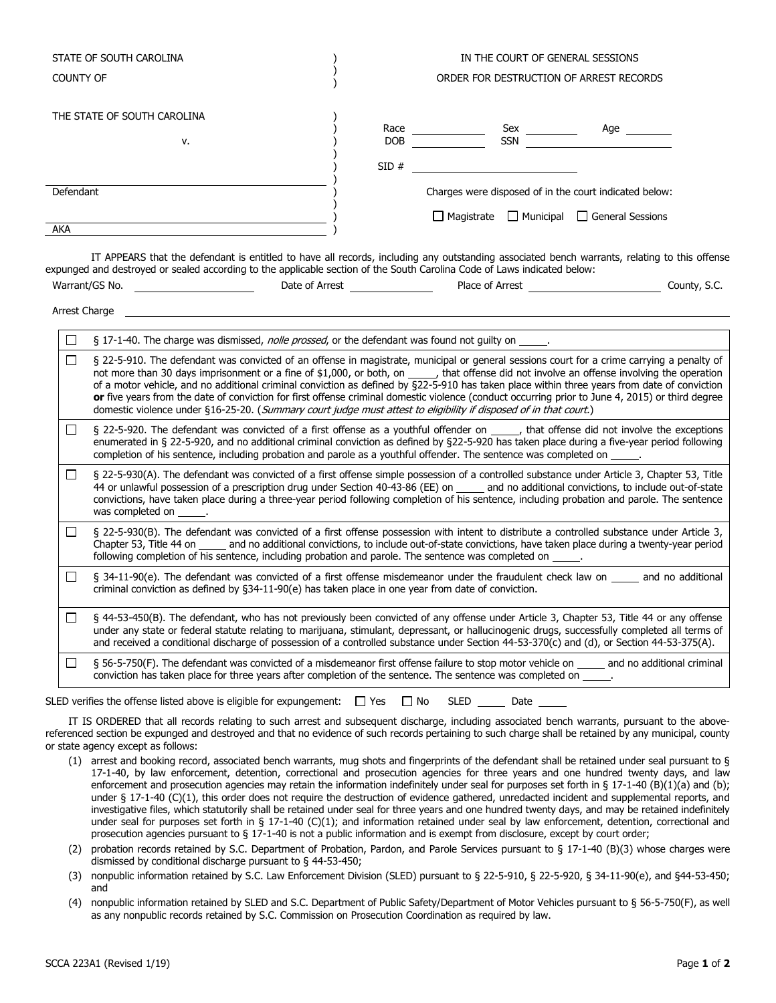| STATE OF SOUTH CAROLINA     |  | IN THE COURT OF GENERAL SESSIONS<br>ORDER FOR DESTRUCTION OF ARREST RECORDS |                                                        |                  |                  |
|-----------------------------|--|-----------------------------------------------------------------------------|--------------------------------------------------------|------------------|------------------|
| <b>COUNTY OF</b>            |  |                                                                             |                                                        |                  |                  |
| THE STATE OF SOUTH CAROLINA |  |                                                                             |                                                        |                  |                  |
|                             |  | Race                                                                        |                                                        | Sex              | Age              |
| v.                          |  | <b>DOB</b>                                                                  |                                                        | <b>SSN</b>       |                  |
|                             |  | SID#                                                                        |                                                        |                  |                  |
| Defendant                   |  |                                                                             | Charges were disposed of in the court indicated below: |                  |                  |
|                             |  |                                                                             | $\Box$ Magistrate                                      | $\Box$ Municipal | General Sessions |
| AKA                         |  |                                                                             |                                                        |                  |                  |

IT APPEARS that the defendant is entitled to have all records, including any outstanding associated bench warrants, relating to this offense expunged and destroyed or sealed according to the applicable section of the South Carolina Code of Laws indicated below: Warrant/GS No. Date of Arrest Place of Arrest County, S.C.

|              | Arrest Charge                                                                                                                                                                                                                                                                                                                                                                                                                                                                                                                                                                                                                                                                                                      |
|--------------|--------------------------------------------------------------------------------------------------------------------------------------------------------------------------------------------------------------------------------------------------------------------------------------------------------------------------------------------------------------------------------------------------------------------------------------------------------------------------------------------------------------------------------------------------------------------------------------------------------------------------------------------------------------------------------------------------------------------|
|              |                                                                                                                                                                                                                                                                                                                                                                                                                                                                                                                                                                                                                                                                                                                    |
| П            | § 17-1-40. The charge was dismissed, nolle prossed, or the defendant was found not guilty on _____.                                                                                                                                                                                                                                                                                                                                                                                                                                                                                                                                                                                                                |
| $\mathsf{L}$ | § 22-5-910. The defendant was convicted of an offense in magistrate, municipal or general sessions court for a crime carrying a penalty of<br>not more than 30 days imprisonment or a fine of \$1,000, or both, on _____, that offense did not involve an offense involving the operation<br>of a motor vehicle, and no additional criminal conviction as defined by §22-5-910 has taken place within three years from date of conviction<br>or five years from the date of conviction for first offense criminal domestic violence (conduct occurring prior to June 4, 2015) or third degree<br>domestic violence under §16-25-20. (Summary court judge must attest to eligibility if disposed of in that court.) |
| $\perp$      | § 22-5-920. The defendant was convicted of a first offense as a youthful offender on _____, that offense did not involve the exceptions<br>enumerated in § 22-5-920, and no additional criminal conviction as defined by §22-5-920 has taken place during a five-year period following<br>completion of his sentence, including probation and parole as a youthful offender. The sentence was completed on _____.                                                                                                                                                                                                                                                                                                  |
| $\Box$       | § 22-5-930(A). The defendant was convicted of a first offense simple possession of a controlled substance under Article 3, Chapter 53, Title<br>44 or unlawful possession of a prescription drug under Section 40-43-86 (EE) on _____ and no additional convictions, to include out-of-state<br>convictions, have taken place during a three-year period following completion of his sentence, including probation and parole. The sentence<br>was completed on ______.                                                                                                                                                                                                                                            |
| LΙ           | § 22-5-930(B). The defendant was convicted of a first offense possession with intent to distribute a controlled substance under Article 3,<br>Chapter 53, Title 44 on _____ and no additional convictions, to include out-of-state convictions, have taken place during a twenty-year period<br>following completion of his sentence, including probation and parole. The sentence was completed on _____.                                                                                                                                                                                                                                                                                                         |
| П            | § 34-11-90(e). The defendant was convicted of a first offense misdemeanor under the fraudulent check law on _____ and no additional<br>criminal conviction as defined by §34-11-90(e) has taken place in one year from date of conviction.                                                                                                                                                                                                                                                                                                                                                                                                                                                                         |
|              | § 44-53-450(B). The defendant, who has not previously been convicted of any offense under Article 3, Chapter 53, Title 44 or any offense                                                                                                                                                                                                                                                                                                                                                                                                                                                                                                                                                                           |

under any state or federal statute relating to marijuana, stimulant, depressant, or hallucinogenic drugs, successfully completed all terms of and received a conditional discharge of possession of a controlled substance under Section 44-53-370(c) and (d), or Section 44-53-375(A).  $\Box$ § 56-5-750(F). The defendant was convicted of a misdemeanor first offense failure to stop motor vehicle on \_\_\_\_\_ and no additional criminal

conviction has taken place for three years after completion of the sentence. The sentence was completed on .

SLED verifies the offense listed above is eligible for expungement:  $\Box$  Yes  $\Box$  No SLED  $\Box$  Date  $\Box$ 

IT IS ORDERED that all records relating to such arrest and subsequent discharge, including associated bench warrants, pursuant to the abovereferenced section be expunged and destroyed and that no evidence of such records pertaining to such charge shall be retained by any municipal, county or state agency except as follows:

- (1) arrest and booking record, associated bench warrants, mug shots and fingerprints of the defendant shall be retained under seal pursuant to § 17-1-40, by law enforcement, detention, correctional and prosecution agencies for three years and one hundred twenty days, and law enforcement and prosecution agencies may retain the information indefinitely under seal for purposes set forth in § 17-1-40 (B)(1)(a) and (b); under § 17-1-40 (C)(1), this order does not require the destruction of evidence gathered, unredacted incident and supplemental reports, and investigative files, which statutorily shall be retained under seal for three years and one hundred twenty days, and may be retained indefinitely under seal for purposes set forth in § 17-1-40 (C)(1); and information retained under seal by law enforcement, detention, correctional and prosecution agencies pursuant to § 17-1-40 is not a public information and is exempt from disclosure, except by court order;
- (2) probation records retained by S.C. Department of Probation, Pardon, and Parole Services pursuant to § 17-1-40 (B)(3) whose charges were dismissed by conditional discharge pursuant to § 44-53-450;
- (3) nonpublic information retained by S.C. Law Enforcement Division (SLED) pursuant to § 22-5-910, § 22-5-920, § 34-11-90(e), and §44-53-450; and
- (4) nonpublic information retained by SLED and S.C. Department of Public Safety/Department of Motor Vehicles pursuant to § 56-5-750(F), as well as any nonpublic records retained by S.C. Commission on Prosecution Coordination as required by law.